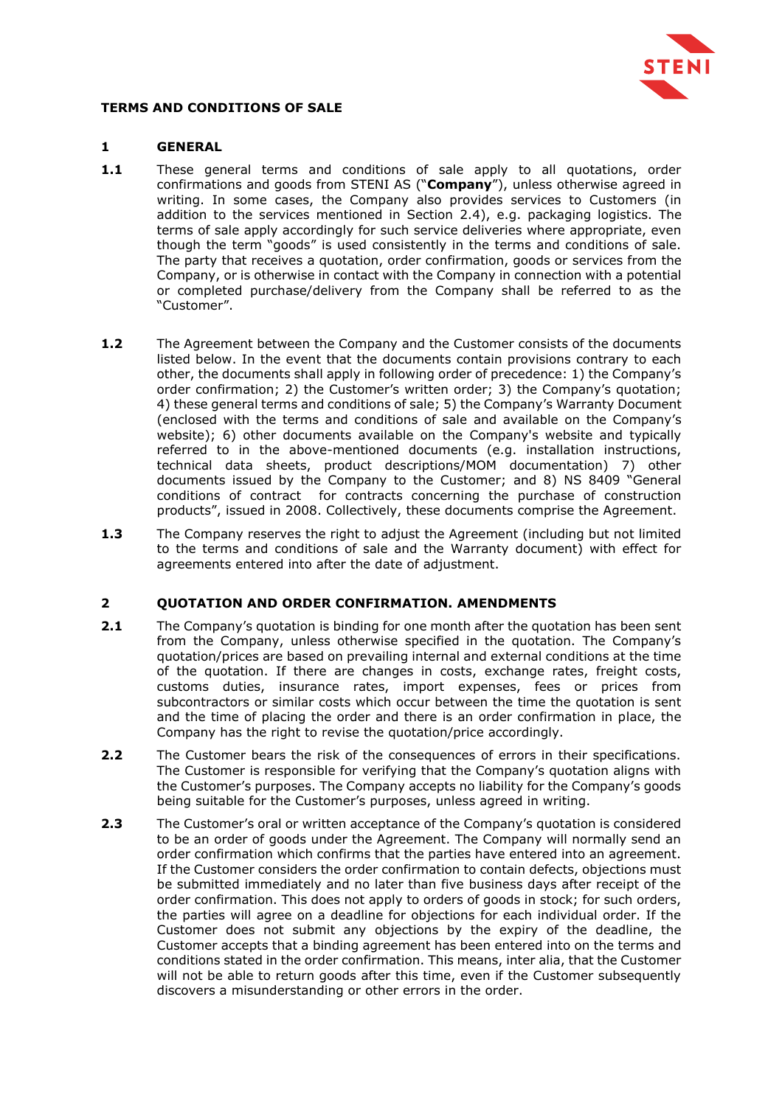

## **TERMS AND CONDITIONS OF SALE**

## **1 GENERAL**

- **1.1** These general terms and conditions of sale apply to all quotations, order confirmations and goods from STENI AS ("**Company**"), unless otherwise agreed in writing. In some cases, the Company also provides services to Customers (in addition to the services mentioned in Section [2.4\)](#page-1-0), e.g. packaging logistics. The terms of sale apply accordingly for such service deliveries where appropriate, even though the term "goods" is used consistently in the terms and conditions of sale. The party that receives a quotation, order confirmation, goods or services from the Company, or is otherwise in contact with the Company in connection with a potential or completed purchase/delivery from the Company shall be referred to as the "Customer".
- **1.2** The Agreement between the Company and the Customer consists of the documents listed below. In the event that the documents contain provisions contrary to each other, the documents shall apply in following order of precedence: 1) the Company's order confirmation; 2) the Customer's written order; 3) the Company's quotation; 4) these general terms and conditions of sale; 5) the Company's Warranty Document (enclosed with the terms and conditions of sale and available on the Company's website); 6) other documents available on the Company's website and typically referred to in the above-mentioned documents (e.g. installation instructions, technical data sheets, product descriptions/MOM documentation) 7) other documents issued by the Company to the Customer; and 8) NS 8409 "General conditions of contract for contracts concerning the purchase of construction products", issued in 2008. Collectively, these documents comprise the Agreement.
- **1.3** The Company reserves the right to adjust the Agreement (including but not limited to the terms and conditions of sale and the Warranty document) with effect for agreements entered into after the date of adjustment.

## **2 QUOTATION AND ORDER CONFIRMATION. AMENDMENTS**

- <span id="page-0-0"></span>**2.1** The Company's quotation is binding for one month after the quotation has been sent from the Company, unless otherwise specified in the quotation. The Company's quotation/prices are based on prevailing internal and external conditions at the time of the quotation. If there are changes in costs, exchange rates, freight costs, customs duties, insurance rates, import expenses, fees or prices from subcontractors or similar costs which occur between the time the quotation is sent and the time of placing the order and there is an order confirmation in place, the Company has the right to revise the quotation/price accordingly.
- **2.2** The Customer bears the risk of the consequences of errors in their specifications. The Customer is responsible for verifying that the Company's quotation aligns with the Customer's purposes. The Company accepts no liability for the Company's goods being suitable for the Customer's purposes, unless agreed in writing.
- **2.3** The Customer's oral or written acceptance of the Company's quotation is considered to be an order of goods under the Agreement. The Company will normally send an order confirmation which confirms that the parties have entered into an agreement. If the Customer considers the order confirmation to contain defects, objections must be submitted immediately and no later than five business days after receipt of the order confirmation. This does not apply to orders of goods in stock; for such orders, the parties will agree on a deadline for objections for each individual order. If the Customer does not submit any objections by the expiry of the deadline, the Customer accepts that a binding agreement has been entered into on the terms and conditions stated in the order confirmation. This means, inter alia, that the Customer will not be able to return goods after this time, even if the Customer subsequently discovers a misunderstanding or other errors in the order.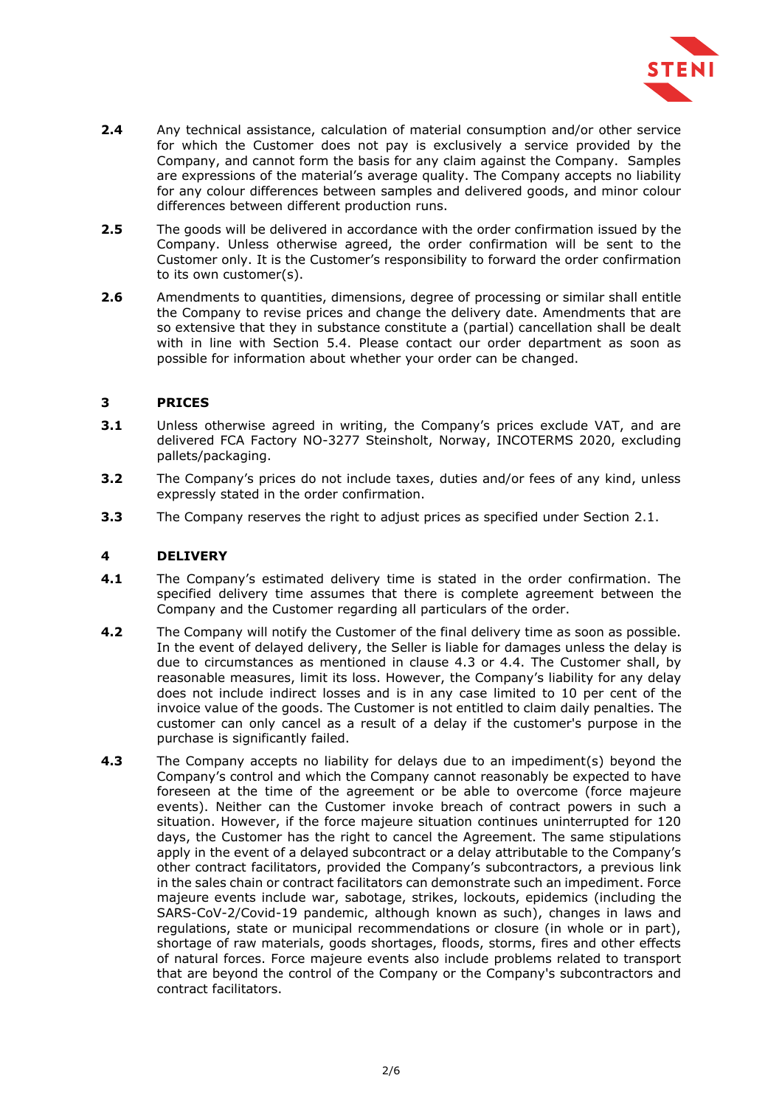

- <span id="page-1-0"></span>**2.4** Any technical assistance, calculation of material consumption and/or other service for which the Customer does not pay is exclusively a service provided by the Company, and cannot form the basis for any claim against the Company. Samples are expressions of the material's average quality. The Company accepts no liability for any colour differences between samples and delivered goods, and minor colour differences between different production runs.
- **2.5** The goods will be delivered in accordance with the order confirmation issued by the Company. Unless otherwise agreed, the order confirmation will be sent to the Customer only. It is the Customer's responsibility to forward the order confirmation to its own customer(s).
- **2.6** Amendments to quantities, dimensions, degree of processing or similar shall entitle the Company to revise prices and change the delivery date. Amendments that are so extensive that they in substance constitute a (partial) cancellation shall be dealt with in line with Section [5.4.](#page-2-0) Please contact our order department as soon as possible for information about whether your order can be changed.

## **3 PRICES**

- **3.1** Unless otherwise agreed in writing, the Company's prices exclude VAT, and are delivered FCA Factory NO-3277 Steinsholt, Norway, INCOTERMS 2020, excluding pallets/packaging.
- **3.2** The Company's prices do not include taxes, duties and/or fees of any kind, unless expressly stated in the order confirmation.
- **3.3** The Company reserves the right to adjust prices as specified under Section [2.1.](#page-0-0)

#### **4 DELIVERY**

- **4.1** The Company's estimated delivery time is stated in the order confirmation. The specified delivery time assumes that there is complete agreement between the Company and the Customer regarding all particulars of the order.
- <span id="page-1-1"></span>**4.2** The Company will notify the Customer of the final delivery time as soon as possible. In the event of delayed delivery, the Seller is liable for damages unless the delay is due to circumstances as mentioned in clause 4.3 or 4.4. The Customer shall, by reasonable measures, limit its loss. However, the Company's liability for any delay does not include indirect losses and is in any case limited to 10 per cent of the invoice value of the goods. The Customer is not entitled to claim daily penalties. The customer can only cancel as a result of a delay if the customer's purpose in the purchase is significantly failed.
- <span id="page-1-2"></span>**4.3** The Company accepts no liability for delays due to an impediment(s) beyond the Company's control and which the Company cannot reasonably be expected to have foreseen at the time of the agreement or be able to overcome (force majeure events). Neither can the Customer invoke breach of contract powers in such a situation. However, if the force majeure situation continues uninterrupted for 120 days, the Customer has the right to cancel the Agreement. The same stipulations apply in the event of a delayed subcontract or a delay attributable to the Company's other contract facilitators, provided the Company's subcontractors, a previous link in the sales chain or contract facilitators can demonstrate such an impediment. Force majeure events include war, sabotage, strikes, lockouts, epidemics (including the SARS-CoV-2/Covid-19 pandemic, although known as such), changes in laws and regulations, state or municipal recommendations or closure (in whole or in part), shortage of raw materials, goods shortages, floods, storms, fires and other effects of natural forces. Force majeure events also include problems related to transport that are beyond the control of the Company or the Company's subcontractors and contract facilitators.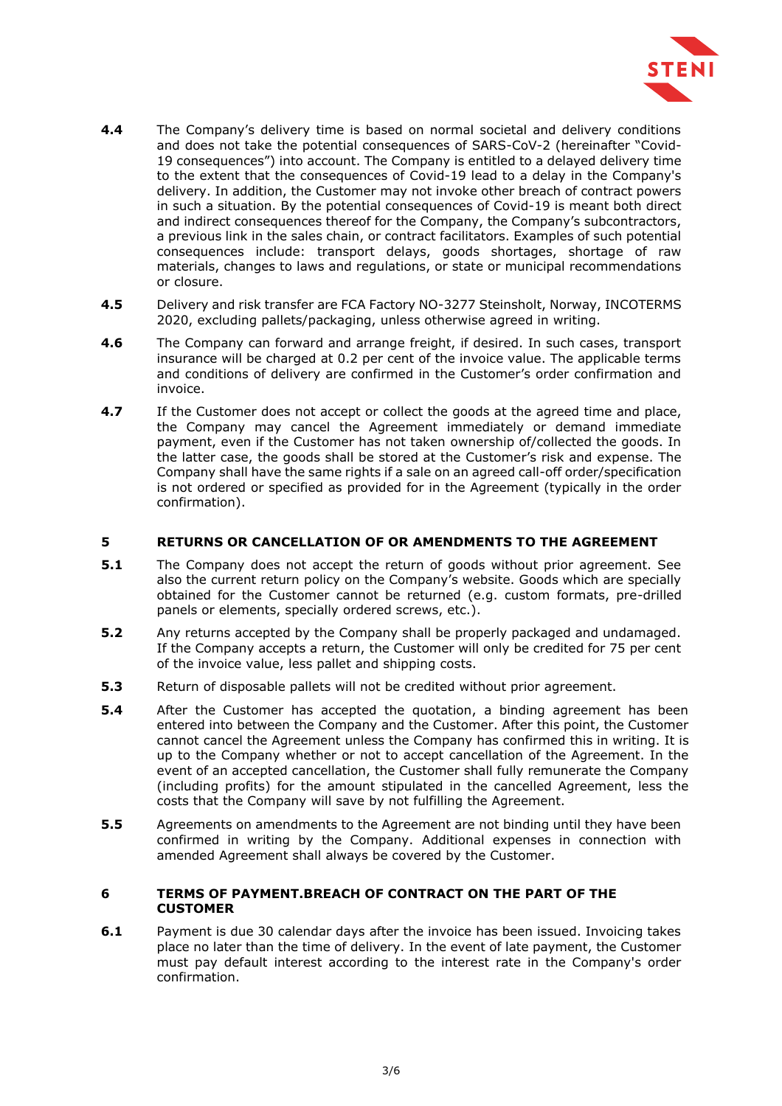

- <span id="page-2-2"></span>**4.4** The Company's delivery time is based on normal societal and delivery conditions and does not take the potential consequences of SARS-CoV-2 (hereinafter "Covid-19 consequences") into account. The Company is entitled to a delayed delivery time to the extent that the consequences of Covid-19 lead to a delay in the Company's delivery. In addition, the Customer may not invoke other breach of contract powers in such a situation. By the potential consequences of Covid-19 is meant both direct and indirect consequences thereof for the Company, the Company's subcontractors, a previous link in the sales chain, or contract facilitators. Examples of such potential consequences include: transport delays, goods shortages, shortage of raw materials, changes to laws and regulations, or state or municipal recommendations or closure.
- <span id="page-2-1"></span>**4.5** Delivery and risk transfer are FCA Factory NO-3277 Steinsholt, Norway, INCOTERMS 2020, excluding pallets/packaging, unless otherwise agreed in writing.
- **4.6** The Company can forward and arrange freight, if desired. In such cases, transport insurance will be charged at 0.2 per cent of the invoice value. The applicable terms and conditions of delivery are confirmed in the Customer's order confirmation and invoice.
- **4.7** If the Customer does not accept or collect the goods at the agreed time and place, the Company may cancel the Agreement immediately or demand immediate payment, even if the Customer has not taken ownership of/collected the goods. In the latter case, the goods shall be stored at the Customer's risk and expense. The Company shall have the same rights if a sale on an agreed call-off order/specification is not ordered or specified as provided for in the Agreement (typically in the order confirmation).

## **5 RETURNS OR CANCELLATION OF OR AMENDMENTS TO THE AGREEMENT**

- **5.1** The Company does not accept the return of goods without prior agreement. See also the current return policy on the Company's website. Goods which are specially obtained for the Customer cannot be returned (e.g. custom formats, pre-drilled panels or elements, specially ordered screws, etc.).
- **5.2** Any returns accepted by the Company shall be properly packaged and undamaged. If the Company accepts a return, the Customer will only be credited for 75 per cent of the invoice value, less pallet and shipping costs.
- <span id="page-2-0"></span>**5.3** Return of disposable pallets will not be credited without prior agreement.
- **5.4** After the Customer has accepted the quotation, a binding agreement has been entered into between the Company and the Customer. After this point, the Customer cannot cancel the Agreement unless the Company has confirmed this in writing. It is up to the Company whether or not to accept cancellation of the Agreement. In the event of an accepted cancellation, the Customer shall fully remunerate the Company (including profits) for the amount stipulated in the cancelled Agreement, less the costs that the Company will save by not fulfilling the Agreement.
- **5.5** Agreements on amendments to the Agreement are not binding until they have been confirmed in writing by the Company. Additional expenses in connection with amended Agreement shall always be covered by the Customer.

#### **6 TERMS OF PAYMENT.BREACH OF CONTRACT ON THE PART OF THE CUSTOMER**

**6.1** Payment is due 30 calendar days after the invoice has been issued. Invoicing takes place no later than the time of delivery. In the event of late payment, the Customer must pay default interest according to the interest rate in the Company's order confirmation.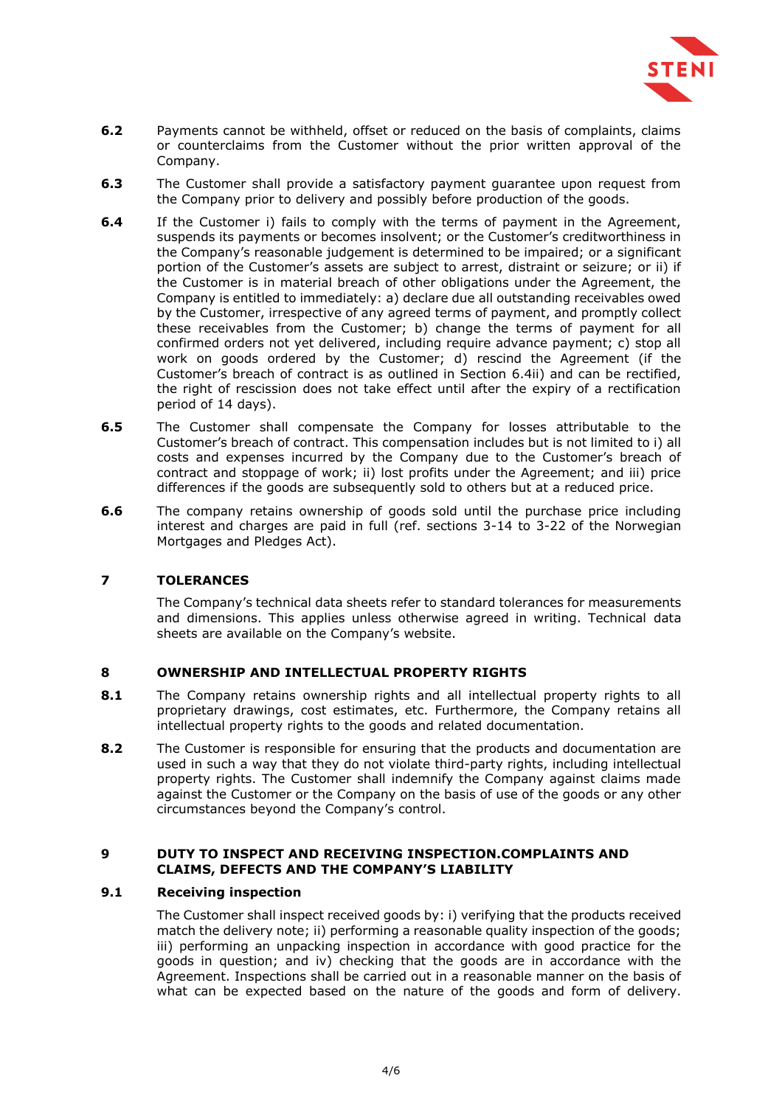

- **6.2** Payments cannot be withheld, offset or reduced on the basis of complaints, claims or counterclaims from the Customer without the prior written approval of the Company.
- **6.3** The Customer shall provide a satisfactory payment guarantee upon request from the Company prior to delivery and possibly before production of the goods.
- <span id="page-3-0"></span>**6.4** If the Customer i) fails to comply with the terms of payment in the Agreement, suspends its payments or becomes insolvent; or the Customer's creditworthiness in the Company's reasonable judgement is determined to be impaired; or a significant portion of the Customer's assets are subject to arrest, distraint or seizure; or ii) if the Customer is in material breach of other obligations under the Agreement, the Company is entitled to immediately: a) declare due all outstanding receivables owed by the Customer, irrespective of any agreed terms of payment, and promptly collect these receivables from the Customer; b) change the terms of payment for all confirmed orders not yet delivered, including require advance payment; c) stop all work on goods ordered by the Customer; d) rescind the Agreement (if the Customer's breach of contract is as outlined in Section [6.4i](#page-3-0)i) and can be rectified, the right of rescission does not take effect until after the expiry of a rectification period of 14 days).
- **6.5** The Customer shall compensate the Company for losses attributable to the Customer's breach of contract. This compensation includes but is not limited to i) all costs and expenses incurred by the Company due to the Customer's breach of contract and stoppage of work; ii) lost profits under the Agreement; and iii) price differences if the goods are subsequently sold to others but at a reduced price.
- **6.6** The company retains ownership of goods sold until the purchase price including interest and charges are paid in full (ref. sections 3-14 to 3-22 of the Norwegian Mortgages and Pledges Act).

## **7 TOLERANCES**

The Company's technical data sheets refer to standard tolerances for measurements and dimensions. This applies unless otherwise agreed in writing. Technical data sheets are available on the Company's website.

## **8 OWNERSHIP AND INTELLECTUAL PROPERTY RIGHTS**

- **8.1** The Company retains ownership rights and all intellectual property rights to all proprietary drawings, cost estimates, etc. Furthermore, the Company retains all intellectual property rights to the goods and related documentation.
- **8.2** The Customer is responsible for ensuring that the products and documentation are used in such a way that they do not violate third-party rights, including intellectual property rights. The Customer shall indemnify the Company against claims made against the Customer or the Company on the basis of use of the goods or any other circumstances beyond the Company's control.

#### **9 DUTY TO INSPECT AND RECEIVING INSPECTION.COMPLAINTS AND CLAIMS, DEFECTS AND THE COMPANY'S LIABILITY**

## **9.1 Receiving inspection**

The Customer shall inspect received goods by: i) verifying that the products received match the delivery note; ii) performing a reasonable quality inspection of the goods; iii) performing an unpacking inspection in accordance with good practice for the goods in question; and iv) checking that the goods are in accordance with the Agreement. Inspections shall be carried out in a reasonable manner on the basis of what can be expected based on the nature of the goods and form of delivery.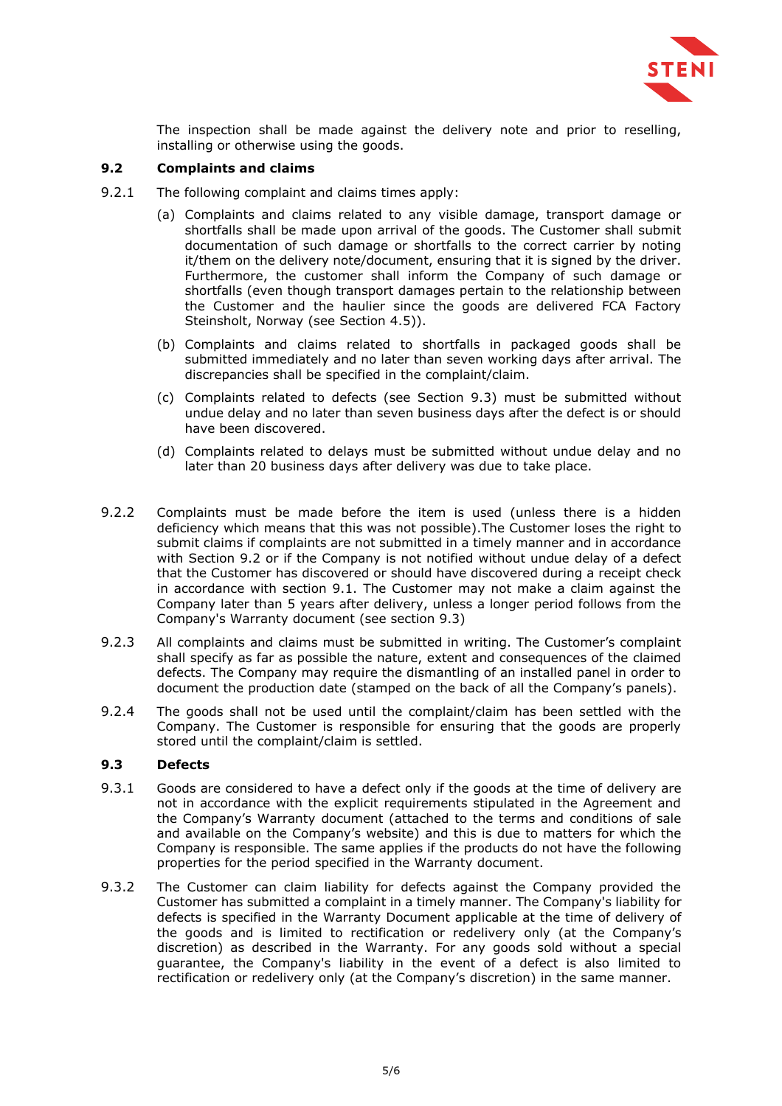

The inspection shall be made against the delivery note and prior to reselling, installing or otherwise using the goods.

# <span id="page-4-1"></span>**9.2 Complaints and claims**

- 9.2.1 The following complaint and claims times apply:
	- (a) Complaints and claims related to any visible damage, transport damage or shortfalls shall be made upon arrival of the goods. The Customer shall submit documentation of such damage or shortfalls to the correct carrier by noting it/them on the delivery note/document, ensuring that it is signed by the driver. Furthermore, the customer shall inform the Company of such damage or shortfalls (even though transport damages pertain to the relationship between the Customer and the haulier since the goods are delivered FCA Factory Steinsholt, Norway (see Section [4.5\)](#page-2-1)).
	- (b) Complaints and claims related to shortfalls in packaged goods shall be submitted immediately and no later than seven working days after arrival. The discrepancies shall be specified in the complaint/claim.
	- (c) Complaints related to defects (see Section [9.3\)](#page-4-0) must be submitted without undue delay and no later than seven business days after the defect is or should have been discovered.
	- (d) Complaints related to delays must be submitted without undue delay and no later than 20 business days after delivery was due to take place.
- <span id="page-4-2"></span>9.2.2 Complaints must be made before the item is used (unless there is a hidden deficiency which means that this was not possible).The Customer loses the right to submit claims if complaints are not submitted in a timely manner and in accordance with Section [9.2](#page-4-1) or if the Company is not notified without undue delay of a defect that the Customer has discovered or should have discovered during a receipt check in accordance with section 9.1. The Customer may not make a claim against the Company later than 5 years after delivery, unless a longer period follows from the Company's Warranty document (see section 9.3)
- 9.2.3 All complaints and claims must be submitted in writing. The Customer's complaint shall specify as far as possible the nature, extent and consequences of the claimed defects. The Company may require the dismantling of an installed panel in order to document the production date (stamped on the back of all the Company's panels).
- 9.2.4 The goods shall not be used until the complaint/claim has been settled with the Company. The Customer is responsible for ensuring that the goods are properly stored until the complaint/claim is settled.

## <span id="page-4-0"></span>**9.3 Defects**

- 9.3.1 Goods are considered to have a defect only if the goods at the time of delivery are not in accordance with the explicit requirements stipulated in the Agreement and the Company's Warranty document (attached to the terms and conditions of sale and available on the Company's website) and this is due to matters for which the Company is responsible. The same applies if the products do not have the following properties for the period specified in the Warranty document.
- 9.3.2 The Customer can claim liability for defects against the Company provided the Customer has submitted a complaint in a timely manner. The Company's liability for defects is specified in the Warranty Document applicable at the time of delivery of the goods and is limited to rectification or redelivery only (at the Company's discretion) as described in the Warranty. For any goods sold without a special guarantee, the Company's liability in the event of a defect is also limited to rectification or redelivery only (at the Company's discretion) in the same manner.